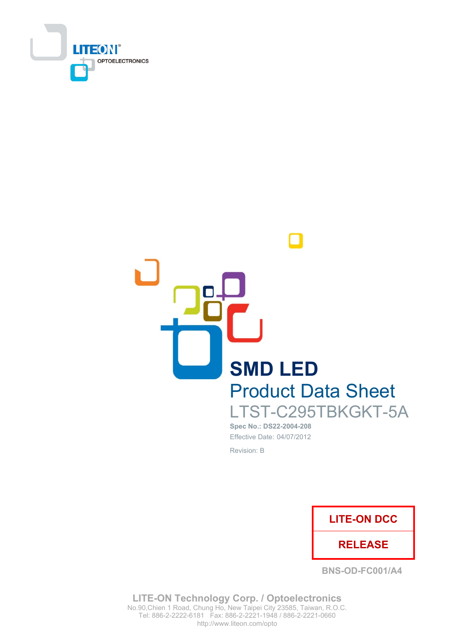



Spec No.: DS22-2004-208 Effective Date: 04/07/2012 Revision: B



**BNS-OD-FC001/A4** 

**LITE-ON Technology Corp. / Optoelectronics** No.90, Chien 1 Road, Chung Ho, New Taipei City 23585, Taiwan, R.O.C. Tel: 886-2-2222-6181 Fax: 886-2-2221-1948 / 886-2-2221-0660 http://www.liteon.com/opto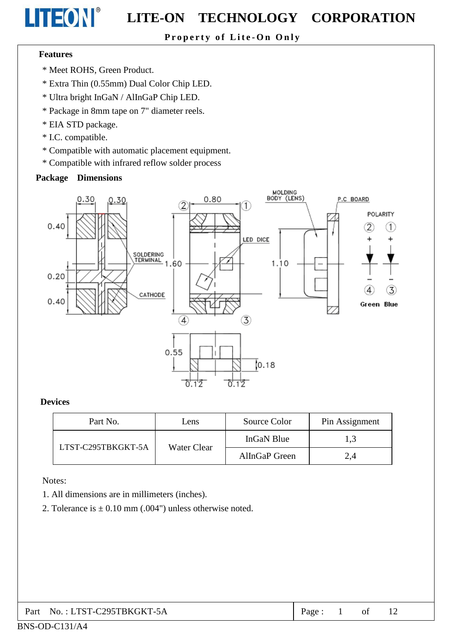## Property of Lite-On Only

#### **Features**

LITEON®

- \* Meet ROHS, Green Product.
- \* Extra Thin (0.55mm) Dual Color Chip LED.
- \* Ultra bright InGaN / AlInGaP Chip LED.
- \* Package in 8mm tape on 7" diameter reels.
- \* EIA STD package.
- \* I.C. compatible.
- \* Compatible with automatic placement equipment.
- \* Compatible with infrared reflow solder process

#### **Package Dimensions**



#### **Devices**

| Part No.           | Lens        | Source Color  | Pin Assignment |
|--------------------|-------------|---------------|----------------|
| LTST-C295TBKGKT-5A |             | InGaN Blue    | 1,3            |
|                    | Water Clear | AlInGaP Green | 2,4            |

Notes:

- 1. All dimensions are in millimeters (inches).
- 2. Tolerance is  $\pm$  0.10 mm (.004") unless otherwise noted.

| Part No.: LTST-C295TBKGKT-5A | Page: |  |  |  |  |
|------------------------------|-------|--|--|--|--|
|------------------------------|-------|--|--|--|--|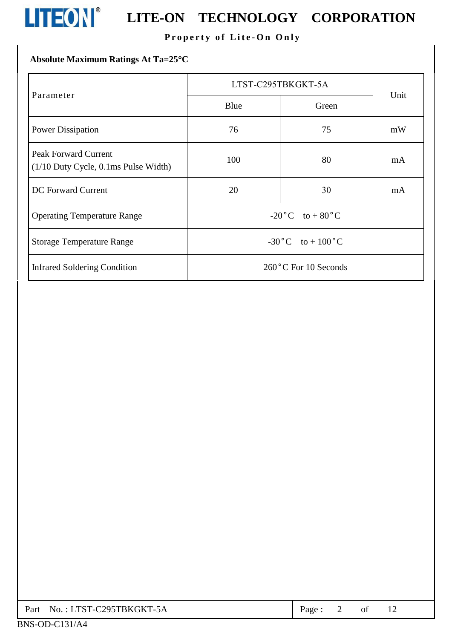

## **LITEON**<sup>®</sup> LITE-ON TECHNOLOGY CORPORATION

## Property of Lite-On Only

## Absolute Maximum Ratings At Ta=25°C

|                                                                          | LTST-C295TBKGKT-5A                |       |      |
|--------------------------------------------------------------------------|-----------------------------------|-------|------|
| Parameter                                                                | Blue                              | Green | Unit |
| <b>Power Dissipation</b>                                                 | 76                                | 75    | mW   |
| <b>Peak Forward Current</b><br>$(1/10$ Duty Cycle, $0.1$ ms Pulse Width) | 100                               | 80    | mA   |
| <b>DC</b> Forward Current                                                | 20                                | 30    | mA   |
| <b>Operating Temperature Range</b>                                       | $-20\degree C$ to $+80\degree C$  |       |      |
| <b>Storage Temperature Range</b>                                         | $-30\degree C$ to $+100\degree C$ |       |      |
| <b>Infrared Soldering Condition</b>                                      | 260°C For 10 Seconds              |       |      |

| Part No.: LTST-C295TBKGKT-5A | $Page: 2$ of |  |  |  |
|------------------------------|--------------|--|--|--|
|------------------------------|--------------|--|--|--|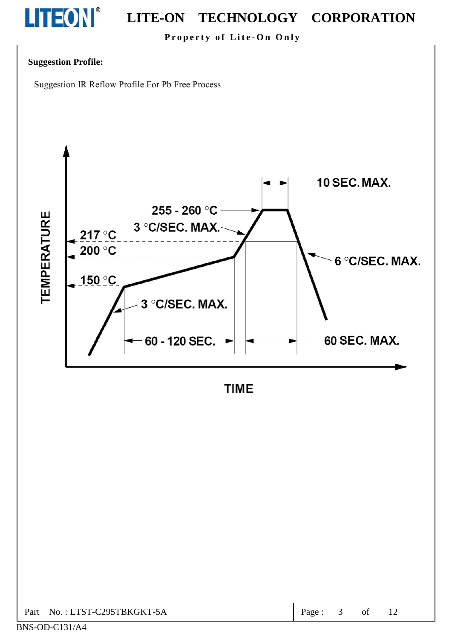# LITEON®

#### **LITE-ON** TECHNOLOGY CORPORATION

Property of Lite-On Only

## **Suggestion Profile:**

Suggestion IR Reflow Profile For Pb Free Process



**TIME** 

| C295TBKGKT-5A<br>$TST_{-1}$<br>$\mathbf{D}_{\mathbf{a}\mathbf{m}}$<br>N <sub>O</sub><br>ΟĪ<br>aσe<br>$-3A$<br>-ai<br><b>*</b><br>___ |
|--------------------------------------------------------------------------------------------------------------------------------------|
|--------------------------------------------------------------------------------------------------------------------------------------|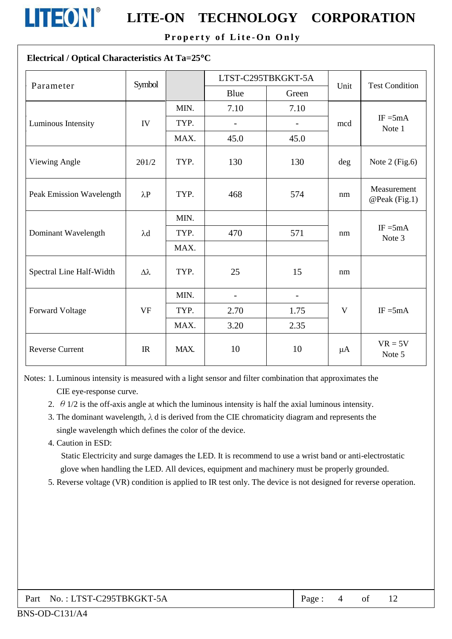

Property of Lite-On Only

### Electrical / Optical Characteristics At Ta=25°C

| Parameter                | LTST-C295TBKGKT-5A<br>Symbol |      |                          | Unit           | <b>Test Condition</b> |                              |
|--------------------------|------------------------------|------|--------------------------|----------------|-----------------------|------------------------------|
|                          |                              |      | Blue                     | Green          |                       |                              |
|                          |                              | MIN. | 7.10                     | 7.10           |                       |                              |
| Luminous Intensity       | IV                           | TYP. | $\overline{\phantom{0}}$ |                | mcd                   | $IF = 5mA$<br>Note 1         |
|                          |                              | MAX. | 45.0                     | 45.0           |                       |                              |
| Viewing Angle            | 201/2                        | TYP. | 130                      | 130            | deg                   | Note $2$ (Fig.6)             |
| Peak Emission Wavelength | $\lambda P$                  | TYP. | 468                      | 574            | nm                    | Measurement<br>@Peak (Fig.1) |
|                          |                              | MIN. |                          |                |                       |                              |
| Dominant Wavelength      | $\lambda$ d                  | TYP. | 470                      | 571            | nm                    | $IF = 5mA$<br>Note 3         |
|                          |                              | MAX. |                          |                |                       |                              |
| Spectral Line Half-Width | $\Delta\lambda$              | TYP. | 25                       | 15             | nm                    |                              |
|                          |                              | MIN. | $\overline{\phantom{0}}$ | $\overline{a}$ |                       |                              |
| <b>Forward Voltage</b>   | <b>VF</b>                    | TYP. | 2.70                     | 1.75           | $\mathbf{V}$          | $IF = 5mA$                   |
|                          |                              | MAX. | 3.20                     | 2.35           |                       |                              |
| <b>Reverse Current</b>   | IR                           | MAX. | 10                       | 10             | $\mu A$               | $VR = 5V$<br>Note 5          |

Notes: 1. Luminous intensity is measured with a light sensor and filter combination that approximates the CIE eye-response curve.

- 2.  $\theta$  1/2 is the off-axis angle at which the luminous intensity is half the axial luminous intensity.
- 3. The dominant wavelength,  $\lambda$  d is derived from the CIE chromaticity diagram and represents the single wavelength which defines the color of the device.
- 4. Caution in ESD:

Static Electricity and surge damages the LED. It is recommend to use a wrist band or anti-electrostatic glove when handling the LED. All devices, equipment and machinery must be properly grounded.

5. Reverse voltage (VR) condition is applied to IR test only. The device is not designed for reverse operation.

| Part No.: LTST-C295TBKGKT-5A |
|------------------------------|
|------------------------------|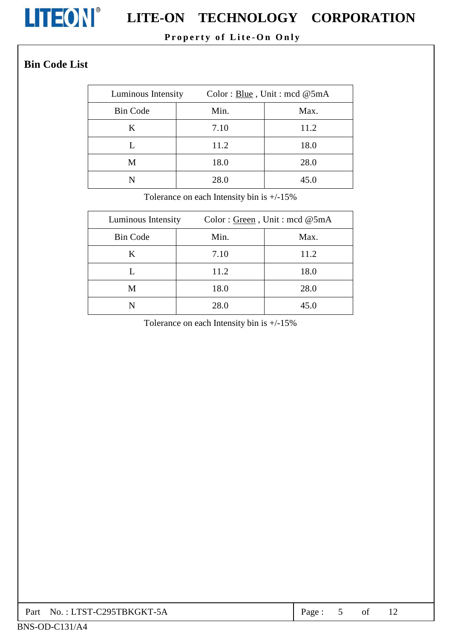

## **LITEON**<sup>®</sup> LITE-ON TECHNOLOGY CORPORATION

## Property of Lite-On Only

## **Bin Code List**

| Luminous Intensity | Color: Blue, Unit: mcd $@5mA$ |      |
|--------------------|-------------------------------|------|
| <b>Bin Code</b>    | Min.                          | Max. |
| K                  | 7.10                          | 11.2 |
|                    | 11.2                          | 18.0 |
| M                  | 18.0                          | 28.0 |
|                    | 28.0                          | 45.0 |

Tolerance on each Intensity bin is  $+/-15\%$ 

| Luminous Intensity | Color: Green, Unit: mcd @5mA |      |  |
|--------------------|------------------------------|------|--|
| <b>Bin Code</b>    | Min.                         | Max. |  |
| K                  | 7.10                         | 11.2 |  |
|                    | 11.2                         | 18.0 |  |
| M                  | 18.0                         | 28.0 |  |
| N                  | 28.0                         | 45.0 |  |

Tolerance on each Intensity bin is +/-15%

| Part . | No. : LTST-C295TBKGKT-5A | Page |  | ΟĪ |  |  |
|--------|--------------------------|------|--|----|--|--|
|--------|--------------------------|------|--|----|--|--|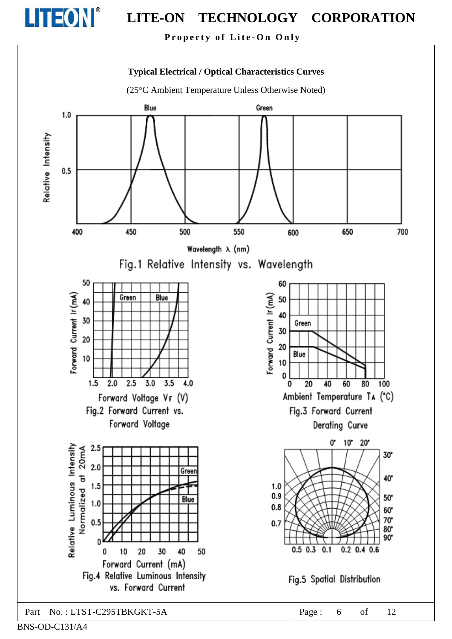

Property of Lite-On Only



BNS-OD-C131/A4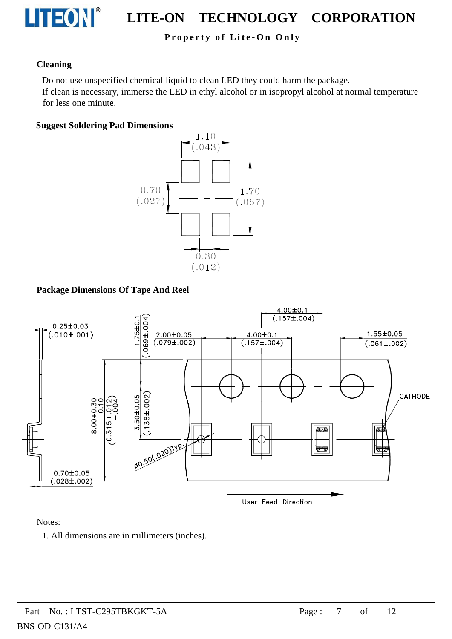

#### TECHNOLOGY CORPORATION **LITE-ON**

## Property of Lite-On Only

#### **Cleaning**

Do not use unspecified chemical liquid to clean LED they could harm the package.

If clean is necessary, immerse the LED in ethyl alcohol or in isopropyl alcohol at normal temperature for less one minute.

#### **Suggest Soldering Pad Dimensions**



### **Package Dimensions Of Tape And Reel**



BNS-OD-C131/A4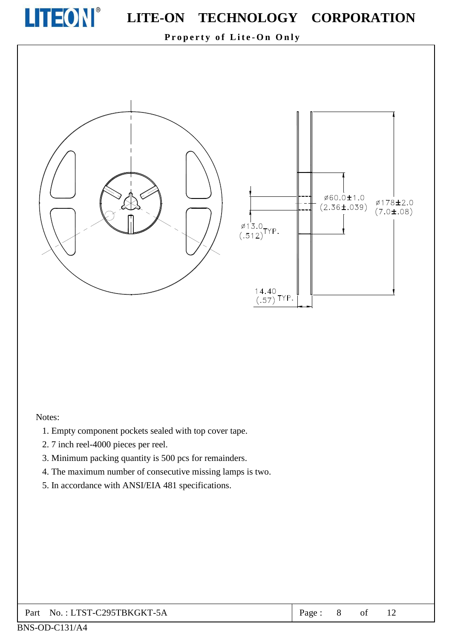

Property of Lite-On Only



#### Notes:

- 1. Empty component pockets sealed with top cover tape.
- 2.7 inch reel-4000 pieces per reel.
- 3. Minimum packing quantity is 500 pcs for remainders.
- 4. The maximum number of consecutive missing lamps is two.
- 5. In accordance with ANSI/EIA 481 specifications.

#### No.: LTST-C295TBKGKT-5A Part

Ø178±2.0

 $(7.0 \pm .08)$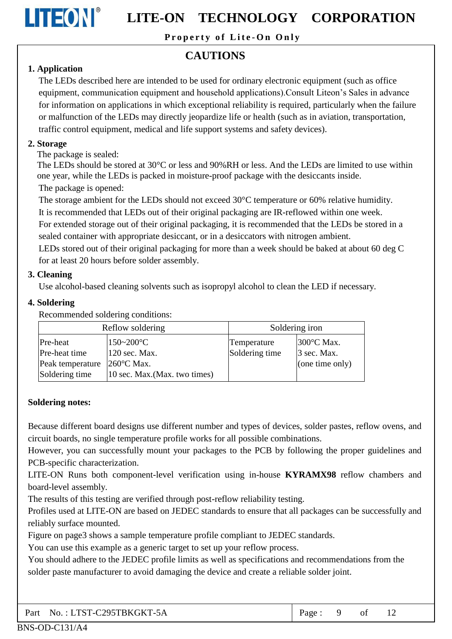

Property of Lite-On Only

## **CAUTIONS**

## 1. Application

The LEDs described here are intended to be used for ordinary electronic equipment (such as office equipment, communication equipment and household applications). Consult Liteon's Sales in advance for information on applications in which exceptional reliability is required, particularly when the failure or malfunction of the LEDs may directly jeopardize life or health (such as in aviation, transportation, traffic control equipment, medical and life support systems and safety devices).

### 2. Storage

The package is sealed:

The LEDs should be stored at 30 °C or less and 90% RH or less. And the LEDs are limited to use within one year, while the LEDs is packed in moisture-proof package with the desiccants inside. The package is opened:

The storage ambient for the LEDs should not exceed  $30^{\circ}$ C temperature or 60% relative humidity.

It is recommended that LEDs out of their original packaging are IR-reflowed within one week.

For extended storage out of their original packaging, it is recommended that the LEDs be stored in a sealed container with appropriate desiccant, or in a desiccators with nitrogen ambient.

LEDs stored out of their original packaging for more than a week should be baked at about 60 deg C for at least 20 hours before solder assembly.

## 3. Cleaning

Use alcohol-based cleaning solvents such as isopropyl alcohol to clean the LED if necessary.

### 4. Soldering

Recommended soldering conditions:

| Reflow soldering |                               | Soldering iron |                 |  |
|------------------|-------------------------------|----------------|-----------------|--|
| Pre-heat         | $150 - 200$ °C                | Temperature    | 300 °C Max.     |  |
| Pre-heat time    | 120 sec. Max.                 | Soldering time | 3 sec. Max.     |  |
| Peak temperature | $260^{\circ}$ C Max.          |                | (one time only) |  |
| Soldering time   | 10 sec. Max. (Max. two times) |                |                 |  |

## **Soldering notes:**

Because different board designs use different number and types of devices, solder pastes, reflow ovens, and circuit boards, no single temperature profile works for all possible combinations.

However, you can successfully mount your packages to the PCB by following the proper guidelines and PCB-specific characterization.

LITE-ON Runs both component-level verification using in-house KYRAMX98 reflow chambers and board-level assembly.

The results of this testing are verified through post-reflow reliability testing.

Profiles used at LITE-ON are based on JEDEC standards to ensure that all packages can be successfully and reliably surface mounted.

Figure on page3 shows a sample temperature profile compliant to JEDEC standards.

You can use this example as a generic target to set up your reflow process.

You should adhere to the JEDEC profile limits as well as specifications and recommendations from the solder paste manufacturer to avoid damaging the device and create a reliable solder joint.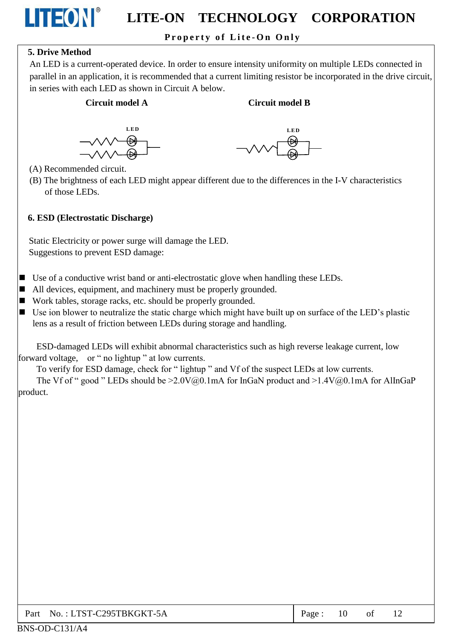## Property of Lite-On Only

## **5. Drive Method**

LITEON®

An LED is a current-operated device. In order to ensure intensity uniformity on multiple LEDs connected in parallel in an application, it is recommended that a current limiting resistor be incorporated in the drive circuit, in series with each LED as shown in Circuit A below.

### Circuit model A

#### **Circuit model B**





- (A) Recommended circuit.
- (B) The brightness of each LED might appear different due to the differences in the I-V characteristics of those LEDs.

#### 6. ESD (Electrostatic Discharge)

Static Electricity or power surge will damage the LED. Suggestions to prevent ESD damage:

- $\blacksquare$  Use of a conductive wrist band or anti-electrostatic glove when handling these LEDs.
- All devices, equipment, and machinery must be properly grounded.
- Work tables, storage racks, etc. should be properly grounded.
- $\blacksquare$  Use ion blower to neutralize the static charge which might have built up on surface of the LED's plastic lens as a result of friction between LEDs during storage and handling.

ESD-damaged LEDs will exhibit abnormal characteristics such as high reverse leakage current, low forward voltage, or " no lightup " at low currents.

To verify for ESD damage, check for "lightup" and Vf of the suspect LEDs at low currents.

The Vf of " good " LEDs should be  $\geq 2.0 \text{V}(a)0.1 \text{mA}$  for InGaN product and  $\geq 1.4 \text{V}(a)0.1 \text{mA}$  for AlInGaP product.

| Part No.: LTST-C295TBKGKT-5A | Page: 10 |  |  |  |
|------------------------------|----------|--|--|--|
|------------------------------|----------|--|--|--|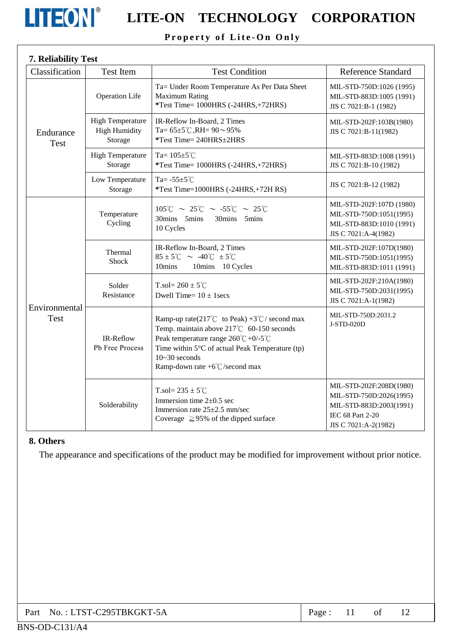

# **LITEON** LITE-ON TECHNOLOGY CORPORATION

## Property of Lite-On Only

| 7. Reliability Test          |                                                            |                                                                                                                                                                                                                                                                                  |                                                                                                                           |
|------------------------------|------------------------------------------------------------|----------------------------------------------------------------------------------------------------------------------------------------------------------------------------------------------------------------------------------------------------------------------------------|---------------------------------------------------------------------------------------------------------------------------|
| Classification               | <b>Test Item</b>                                           | <b>Test Condition</b>                                                                                                                                                                                                                                                            | <b>Reference Standard</b>                                                                                                 |
| Endurance<br>Test            | <b>Operation Life</b>                                      | Ta= Under Room Temperature As Per Data Sheet<br><b>Maximum Rating</b><br>*Test Time= 1000HRS (-24HRS,+72HRS)                                                                                                                                                                     | MIL-STD-750D:1026 (1995)<br>MIL-STD-883D:1005 (1991)<br>JIS C 7021:B-1 (1982)                                             |
|                              | <b>High Temperature</b><br><b>High Humidity</b><br>Storage | IR-Reflow In-Board, 2 Times<br>Ta= $65\pm5^{\circ}$ C, RH= $90\sim95\%$<br>*Test Time= 240HRS±2HRS                                                                                                                                                                               | MIL-STD-202F:103B(1980)<br>JIS C 7021:B-11(1982)                                                                          |
|                              | <b>High Temperature</b><br>Storage                         | Ta= $105 \pm 5^{\circ}$ C<br>*Test Time= 1000HRS (-24HRS,+72HRS)                                                                                                                                                                                                                 | MIL-STD-883D:1008 (1991)<br>JIS C 7021:B-10 (1982)                                                                        |
|                              | Low Temperature<br>Storage                                 | Ta= $-55\pm5^{\circ}$ C<br>*Test Time=1000HRS (-24HRS,+72H RS)                                                                                                                                                                                                                   | JIS C 7021:B-12 (1982)                                                                                                    |
| Environmental<br><b>Test</b> | Temperature<br>Cycling                                     | $105^{\circ}$ C ~ 25 $^{\circ}$ C ~ -55 $^{\circ}$ C ~ 25 $^{\circ}$ C<br>30mins 5mins<br>30mins 5mins<br>10 Cycles                                                                                                                                                              | MIL-STD-202F:107D (1980)<br>MIL-STD-750D:1051(1995)<br>MIL-STD-883D:1010 (1991)<br>JIS C 7021:A-4(1982)                   |
|                              | Thermal<br><b>Shock</b>                                    | IR-Reflow In-Board, 2 Times<br>$85 \pm 5^{\circ}$ C ~ -40 $^{\circ}$ C $\pm 5^{\circ}$ C<br>10mins<br>10mins 10 Cycles                                                                                                                                                           | MIL-STD-202F:107D(1980)<br>MIL-STD-750D:1051(1995)<br>MIL-STD-883D:1011 (1991)                                            |
|                              | Solder<br>Resistance                                       | T.sol= $260 \pm 5^{\circ}$ C<br>Dwell Time= $10 \pm 1$ secs                                                                                                                                                                                                                      | MIL-STD-202F:210A(1980)<br>MIL-STD-750D:2031(1995)<br>JIS C 7021:A-1(1982)                                                |
|                              | IR-Reflow<br>Pb Free Process                               | Ramp-up rate(217°C to Peak) +3°C/ second max<br>Temp. maintain above 217°C 60-150 seconds<br>Peak temperature range $260^{\circ}C + 0/-5^{\circ}C$<br>Time within $5^{\circ}$ C of actual Peak Temperature (tp)<br>$10 - 30$ seconds<br>Ramp-down rate $+6^{\circ}$ C/second max | MIL-STD-750D:2031.2<br>J-STD-020D                                                                                         |
|                              | Solderability                                              | T.sol= $235 \pm 5^{\circ}$ C<br>Immersion time $2\pm 0.5$ sec<br>Immersion rate 25±2.5 mm/sec<br>Coverage $\geq$ 95% of the dipped surface                                                                                                                                       | MIL-STD-202F:208D(1980)<br>MIL-STD-750D:2026(1995)<br>MIL-STD-883D:2003(1991)<br>IEC 68 Part 2-20<br>JIS C 7021:A-2(1982) |

#### 8. Others

The appearance and specifications of the product may be modified for improvement without prior notice.

| Part No.: LTST-C295TBKGKT-5A | Page: $11$ of $12$ |  |  |  |  |
|------------------------------|--------------------|--|--|--|--|
|------------------------------|--------------------|--|--|--|--|